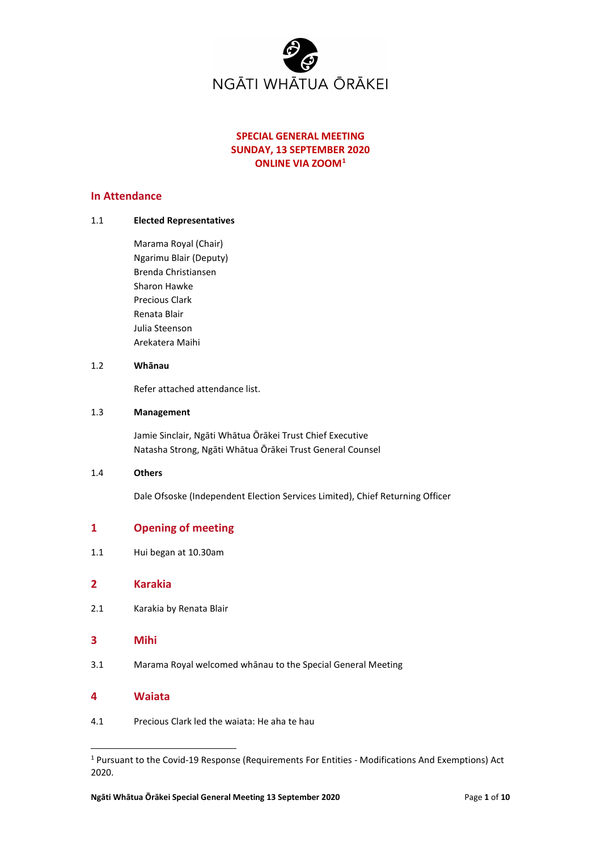

# **SPECIAL GENERAL MEETING SUNDAY, 13 SEPTEMBER 2020 ONLINE VIA ZOOM[1](#page-0-0)**

# **In Attendance**

### 1.1 **Elected Representatives**

Marama Royal (Chair) Ngarimu Blair (Deputy) Brenda Christiansen Sharon Hawke Precious Clark Renata Blair Julia Steenson Arekatera Maihi

#### 1.2 **Whānau**

Refer attached attendance list.

### 1.3 **Management**

Jamie Sinclair, Ngāti Whātua Ōrākei Trust Chief Executive Natasha Strong, Ngāti Whātua Ōrākei Trust General Counsel

### 1.4 **Others**

Dale Ofsoske (Independent Election Services Limited), Chief Returning Officer

# **1 Opening of meeting**

1.1 Hui began at 10.30am

## **2 Karakia**

2.1 Karakia by Renata Blair

## **3 Mihi**

3.1 Marama Royal welcomed whānau to the Special General Meeting

## **4 Waiata**

4.1 Precious Clark led the waiata: He aha te hau

<span id="page-0-0"></span><sup>1</sup> Pursuant to the Covid-19 Response (Requirements For Entities - Modifications And Exemptions) Act 2020.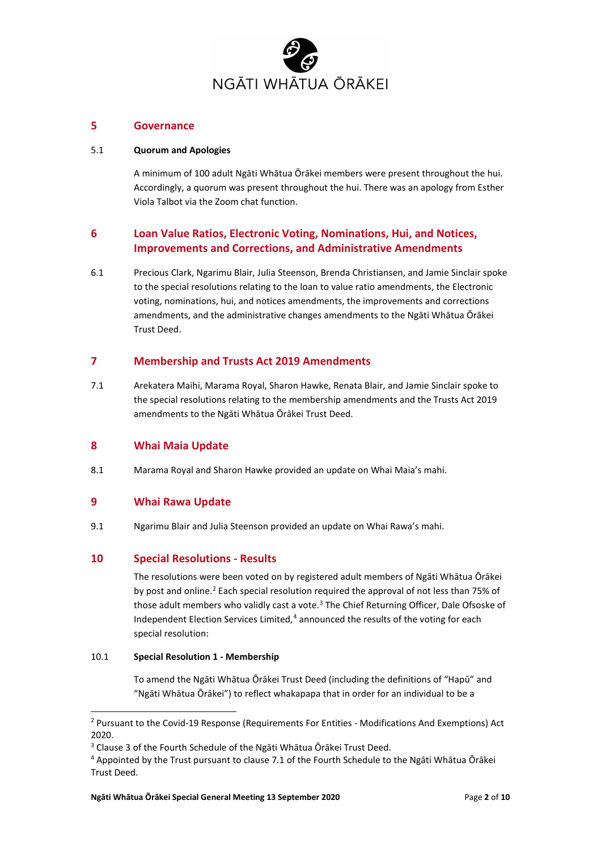

# **5 Governance**

## 5.1 **Quorum and Apologies**

A minimum of 100 adult Ngāti Whātua Ōrākei members were present throughout the hui. Accordingly, a quorum was present throughout the hui. There was an apology from Esther Viola Talbot via the Zoom chat function.

# **6 Loan Value Ratios, Electronic Voting, Nominations, Hui, and Notices, Improvements and Corrections, and Administrative Amendments**

6.1 Precious Clark, Ngarimu Blair, Julia Steenson, Brenda Christiansen, and Jamie Sinclair spoke to the special resolutions relating to the loan to value ratio amendments, the Electronic voting, nominations, hui, and notices amendments, the improvements and corrections amendments, and the administrative changes amendments to the Ngāti Whātua Ōrākei Trust Deed.

### **7 Membership and Trusts Act 2019 Amendments**

7.1 Arekatera Maihi, Marama Royal, Sharon Hawke, Renata Blair, and Jamie Sinclair spoke to the special resolutions relating to the membership amendments and the Trusts Act 2019 amendments to the Ngāti Whātua Ōrākei Trust Deed.

### **8 Whai Maia Update**

8.1 Marama Royal and Sharon Hawke provided an update on Whai Maia's mahi.

# **9 Whai Rawa Update**

9.1 Ngarimu Blair and Julia Steenson provided an update on Whai Rawa's mahi.

# **10 Special Resolutions - Results**

The resolutions were been voted on by registered adult members of Ngāti Whātua Ōrākei by post and online.<sup>[2](#page-1-0)</sup> Each special resolution required the approval of not less than 75% of those adult members who validly cast a vote.<sup>[3](#page-1-1)</sup> The Chief Returning Officer, Dale Ofsoske of Independent Election Services Limited, [4](#page-1-2) announced the results of the voting for each special resolution:

### 10.1 **Special Resolution 1 - Membership**

To amend the Ngāti Whātua Ōrākei Trust Deed (including the definitions of "Hapū" and "Ngāti Whātua Ōrākei") to reflect whakapapa that in order for an individual to be a

<span id="page-1-0"></span><sup>2</sup> Pursuant to the Covid-19 Response (Requirements For Entities - Modifications And Exemptions) Act 2020.

<span id="page-1-1"></span><sup>3</sup> Clause 3 of the Fourth Schedule of the Ngāti Whātua Ōrākei Trust Deed.

<span id="page-1-2"></span><sup>4</sup> Appointed by the Trust pursuant to clause 7.1 of the Fourth Schedule to the Ngāti Whātua Ōrākei Trust Deed.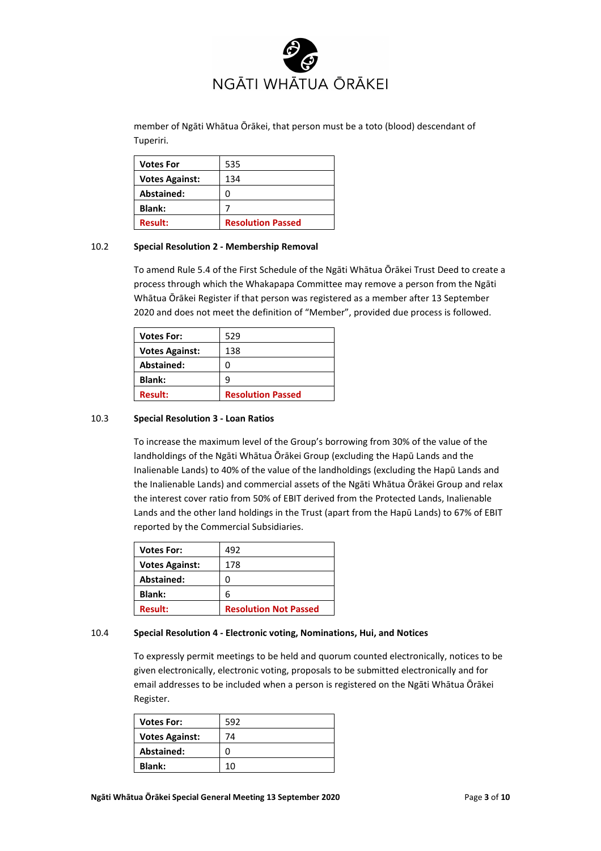

member of Ngāti Whātua Ōrākei, that person must be a toto (blood) descendant of Tuperiri.

| <b>Votes For</b>      | 535                      |
|-----------------------|--------------------------|
| <b>Votes Against:</b> | 134                      |
| Abstained:            |                          |
| <b>Blank:</b>         |                          |
| <b>Result:</b>        | <b>Resolution Passed</b> |

#### 10.2 **Special Resolution 2 - Membership Removal**

To amend Rule 5.4 of the First Schedule of the Ngāti Whātua Ōrākei Trust Deed to create a process through which the Whakapapa Committee may remove a person from the Ngāti Whātua Ōrākei Register if that person was registered as a member after 13 September 2020 and does not meet the definition of "Member", provided due process is followed.

| <b>Votes For:</b>     | 529                      |
|-----------------------|--------------------------|
| <b>Votes Against:</b> | 138                      |
| <b>Abstained:</b>     | n                        |
| <b>Blank:</b>         | q                        |
| <b>Result:</b>        | <b>Resolution Passed</b> |

#### 10.3 **Special Resolution 3 - Loan Ratios**

To increase the maximum level of the Group's borrowing from 30% of the value of the landholdings of the Ngāti Whātua Ōrākei Group (excluding the Hapū Lands and the Inalienable Lands) to 40% of the value of the landholdings (excluding the Hapū Lands and the Inalienable Lands) and commercial assets of the Ngāti Whātua Ōrākei Group and relax the interest cover ratio from 50% of EBIT derived from the Protected Lands, Inalienable Lands and the other land holdings in the Trust (apart from the Hapū Lands) to 67% of EBIT reported by the Commercial Subsidiaries.

| <b>Votes For:</b>     | 492                          |
|-----------------------|------------------------------|
| <b>Votes Against:</b> | 178                          |
| Abstained:            |                              |
| <b>Blank:</b>         | 6                            |
| <b>Result:</b>        | <b>Resolution Not Passed</b> |

#### 10.4 **Special Resolution 4 - Electronic voting, Nominations, Hui, and Notices**

To expressly permit meetings to be held and quorum counted electronically, notices to be given electronically, electronic voting, proposals to be submitted electronically and for email addresses to be included when a person is registered on the Ngāti Whātua Ōrākei Register.

| <b>Votes For:</b>     | 592 |
|-----------------------|-----|
| <b>Votes Against:</b> | 74  |
| Abstained:            | 0   |
| <b>Blank:</b>         | 10  |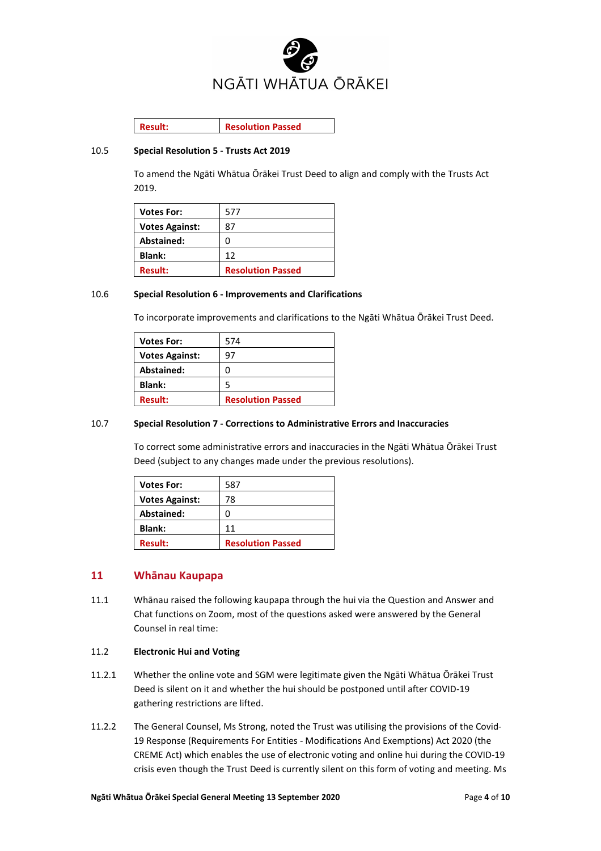

**Result: Resolution Passed**

### 10.5 **Special Resolution 5 - Trusts Act 2019**

To amend the Ngāti Whātua Ōrākei Trust Deed to align and comply with the Trusts Act 2019.

| <b>Votes For:</b>     | 577                      |
|-----------------------|--------------------------|
| <b>Votes Against:</b> | 87                       |
| Abstained:            | O                        |
| <b>Blank:</b>         | 12                       |
| <b>Result:</b>        | <b>Resolution Passed</b> |

#### 10.6 **Special Resolution 6 - Improvements and Clarifications**

To incorporate improvements and clarifications to the Ngāti Whātua Ōrākei Trust Deed.

| <b>Votes For:</b>     | 574                      |
|-----------------------|--------------------------|
| <b>Votes Against:</b> | 97                       |
| Abstained:            | O                        |
| <b>Blank:</b>         |                          |
| <b>Result:</b>        | <b>Resolution Passed</b> |

### 10.7 **Special Resolution 7 - Corrections to Administrative Errors and Inaccuracies**

To correct some administrative errors and inaccuracies in the Ngāti Whātua Ōrākei Trust Deed (subject to any changes made under the previous resolutions).

| <b>Votes For:</b>     | 587                      |
|-----------------------|--------------------------|
| <b>Votes Against:</b> | 78                       |
| Abstained:            | O                        |
| <b>Blank:</b>         | 11                       |
| <b>Result:</b>        | <b>Resolution Passed</b> |

# **11 Whānau Kaupapa**

11.1 Whānau raised the following kaupapa through the hui via the Question and Answer and Chat functions on Zoom, most of the questions asked were answered by the General Counsel in real time:

### 11.2 **Electronic Hui and Voting**

- 11.2.1 Whether the online vote and SGM were legitimate given the Ngāti Whātua Ōrākei Trust Deed is silent on it and whether the hui should be postponed until after COVID-19 gathering restrictions are lifted.
- 11.2.2 The General Counsel, Ms Strong, noted the Trust was utilising the provisions of the Covid-19 Response (Requirements For Entities - Modifications And Exemptions) Act 2020 (the CREME Act) which enables the use of electronic voting and online hui during the COVID-19 crisis even though the Trust Deed is currently silent on this form of voting and meeting. Ms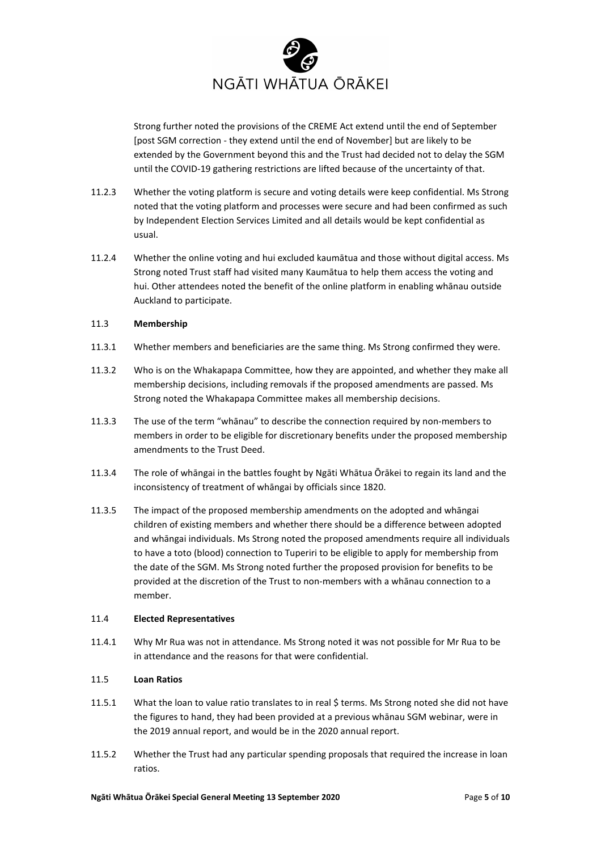

Strong further noted the provisions of the CREME Act extend until the end of September [post SGM correction - they extend until the end of November] but are likely to be extended by the Government beyond this and the Trust had decided not to delay the SGM until the COVID-19 gathering restrictions are lifted because of the uncertainty of that.

- 11.2.3 Whether the voting platform is secure and voting details were keep confidential. Ms Strong noted that the voting platform and processes were secure and had been confirmed as such by Independent Election Services Limited and all details would be kept confidential as usual.
- 11.2.4 Whether the online voting and hui excluded kaumātua and those without digital access. Ms Strong noted Trust staff had visited many Kaumātua to help them access the voting and hui. Other attendees noted the benefit of the online platform in enabling whānau outside Auckland to participate.

### 11.3 **Membership**

- 11.3.1 Whether members and beneficiaries are the same thing. Ms Strong confirmed they were.
- 11.3.2 Who is on the Whakapapa Committee, how they are appointed, and whether they make all membership decisions, including removals if the proposed amendments are passed. Ms Strong noted the Whakapapa Committee makes all membership decisions.
- 11.3.3 The use of the term "whānau" to describe the connection required by non-members to members in order to be eligible for discretionary benefits under the proposed membership amendments to the Trust Deed.
- 11.3.4 The role of whāngai in the battles fought by Ngāti Whātua Ōrākei to regain its land and the inconsistency of treatment of whāngai by officials since 1820.
- 11.3.5 The impact of the proposed membership amendments on the adopted and whāngai children of existing members and whether there should be a difference between adopted and whāngai individuals. Ms Strong noted the proposed amendments require all individuals to have a toto (blood) connection to Tuperiri to be eligible to apply for membership from the date of the SGM. Ms Strong noted further the proposed provision for benefits to be provided at the discretion of the Trust to non-members with a whānau connection to a member.

#### 11.4 **Elected Representatives**

11.4.1 Why Mr Rua was not in attendance. Ms Strong noted it was not possible for Mr Rua to be in attendance and the reasons for that were confidential.

#### 11.5 **Loan Ratios**

- 11.5.1 What the loan to value ratio translates to in real \$ terms. Ms Strong noted she did not have the figures to hand, they had been provided at a previous whānau SGM webinar, were in the 2019 annual report, and would be in the 2020 annual report.
- 11.5.2 Whether the Trust had any particular spending proposals that required the increase in loan ratios.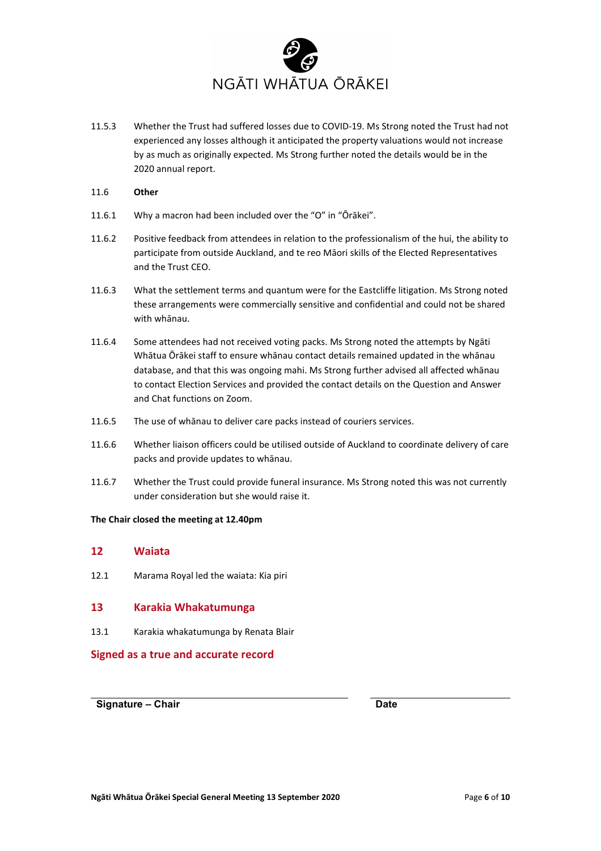

- 11.5.3 Whether the Trust had suffered losses due to COVID-19. Ms Strong noted the Trust had not experienced any losses although it anticipated the property valuations would not increase by as much as originally expected. Ms Strong further noted the details would be in the 2020 annual report.
- 11.6 **Other**
- 11.6.1 Why a macron had been included over the "O" in "Ōrākei".
- 11.6.2 Positive feedback from attendees in relation to the professionalism of the hui, the ability to participate from outside Auckland, and te reo Māori skills of the Elected Representatives and the Trust CEO.
- 11.6.3 What the settlement terms and quantum were for the Eastcliffe litigation. Ms Strong noted these arrangements were commercially sensitive and confidential and could not be shared with whānau.
- 11.6.4 Some attendees had not received voting packs. Ms Strong noted the attempts by Ngāti Whātua Ōrākei staff to ensure whānau contact details remained updated in the whānau database, and that this was ongoing mahi. Ms Strong further advised all affected whānau to contact Election Services and provided the contact details on the Question and Answer and Chat functions on Zoom.
- 11.6.5 The use of whānau to deliver care packs instead of couriers services.
- 11.6.6 Whether liaison officers could be utilised outside of Auckland to coordinate delivery of care packs and provide updates to whānau.
- 11.6.7 Whether the Trust could provide funeral insurance. Ms Strong noted this was not currently under consideration but she would raise it.

#### **The Chair closed the meeting at 12.40pm**

### **12 Waiata**

12.1 Marama Royal led the waiata: Kia piri

### **13 Karakia Whakatumunga**

13.1 Karakia whakatumunga by Renata Blair

**Signed as a true and accurate record**

**Signature – Chair Date**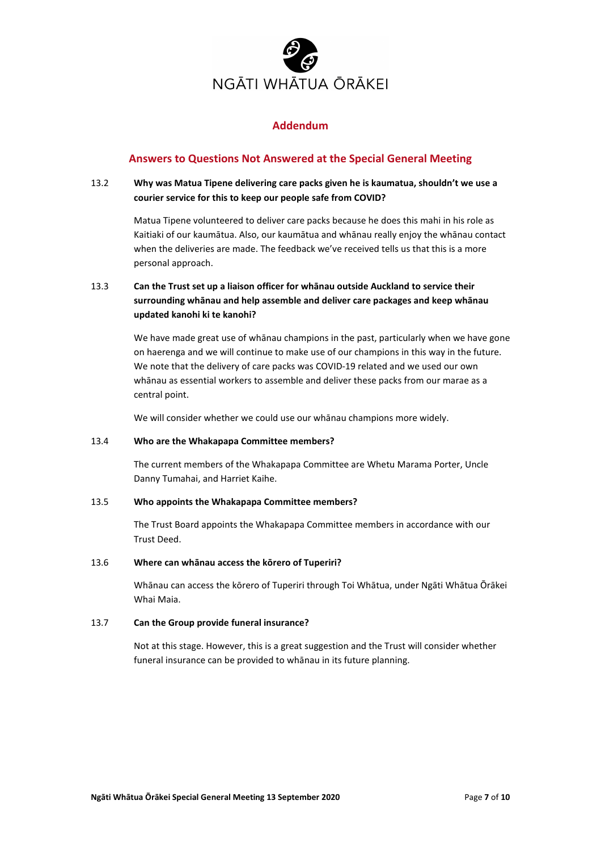

# **Addendum**

# **Answers to Questions Not Answered at the Special General Meeting**

# 13.2 **Why was Matua Tipene delivering care packs given he is kaumatua, shouldn't we use a courier service for this to keep our people safe from COVID?**

Matua Tipene volunteered to deliver care packs because he does this mahi in his role as Kaitiaki of our kaumātua. Also, our kaumātua and whānau really enjoy the whānau contact when the deliveries are made. The feedback we've received tells us that this is a more personal approach.

# 13.3 **Can the Trust set up a liaison officer for whānau outside Auckland to service their surrounding whānau and help assemble and deliver care packages and keep whānau updated kanohi ki te kanohi?**

We have made great use of whānau champions in the past, particularly when we have gone on haerenga and we will continue to make use of our champions in this way in the future. We note that the delivery of care packs was COVID-19 related and we used our own whānau as essential workers to assemble and deliver these packs from our marae as a central point.

We will consider whether we could use our whānau champions more widely.

### 13.4 **Who are the Whakapapa Committee members?**

The current members of the Whakapapa Committee are Whetu Marama Porter, Uncle Danny Tumahai, and Harriet Kaihe.

### 13.5 **Who appoints the Whakapapa Committee members?**

The Trust Board appoints the Whakapapa Committee members in accordance with our Trust Deed.

### 13.6 **Where can whānau access the kōrero of Tuperiri?**

Whānau can access the kōrero of Tuperiri through Toi Whātua, under Ngāti Whātua Ōrākei Whai Maia.

### 13.7 **Can the Group provide funeral insurance?**

Not at this stage. However, this is a great suggestion and the Trust will consider whether funeral insurance can be provided to whānau in its future planning.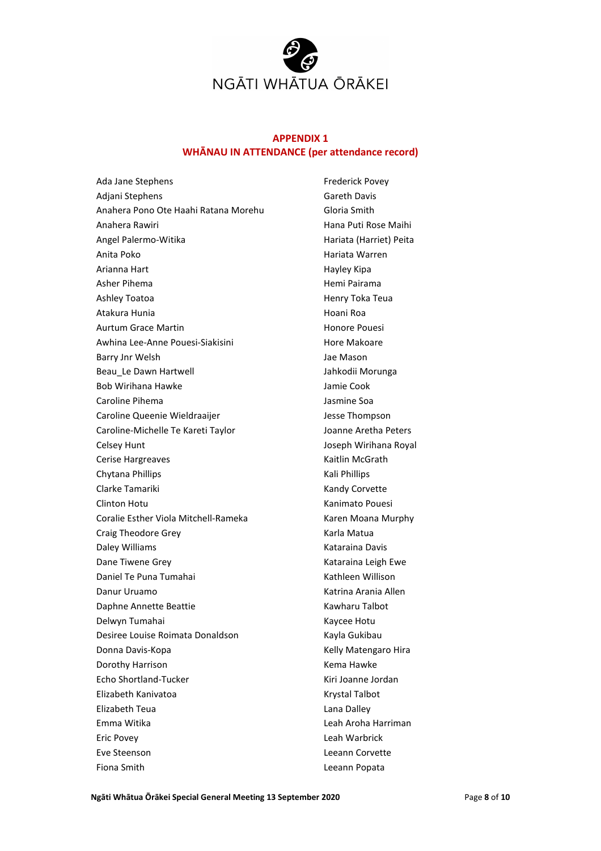

# **APPENDIX 1 WHĀNAU IN ATTENDANCE (per attendance record)**

Ada Jane Stephens Adjani Stephens Anahera Pono Ote Haahi Ratana Morehu Anahera Rawiri Angel Palermo-Witika Anita Poko Arianna Hart Asher Pihema Ashley Toatoa Atakura Hunia Aurtum Grace Martin Awhina Lee-Anne Pouesi-Siakisini Barry Jnr Welsh Beau\_Le Dawn Hartwell Bob Wirihana Hawke Caroline Pihema Caroline Queenie Wieldraaijer Caroline-Michelle Te Kareti Taylor Celsey Hunt Cerise Hargreaves Chytana Phillips Clarke Tamariki Clinton Hotu Coralie Esther Viola Mitchell-Rameka Craig Theodore Grey Daley Williams Dane Tiwene Grey Daniel Te Puna Tumahai Danur Uruamo Daphne Annette Beattie Delwyn Tumahai Desiree Louise Roimata Donaldson Donna Davis-Kopa Dorothy Harrison Echo Shortland-Tucker Elizabeth Kanivatoa Elizabeth Teua Emma Witika Eric Povey Eve Steenson Fiona Smith

Frederick Povey Gareth Davis Gloria Smith Hana Puti Rose Maihi Hariata (Harriet) Peita Hariata Warren Hayley Kipa Hemi Pairama Henry Toka Teua Hoani Roa Honore Pouesi Hore Makoare Jae Mason Jahkodii Morunga Jamie Cook Jasmine Soa Jesse Thompson Joanne Aretha Peters Joseph Wirihana Royal Kaitlin McGrath Kali Phillips Kandy Corvette Kanimato Pouesi Karen Moana Murphy Karla Matua Kataraina Davis Kataraina Leigh Ewe Kathleen Willison Katrina Arania Allen Kawharu Talbot Kaycee Hotu Kayla Gukibau Kelly Matengaro Hira Kema Hawke Kiri Joanne Jordan Krystal Talbot Lana Dalley Leah Aroha Harriman Leah Warbrick Leeann Corvette Leeann Popata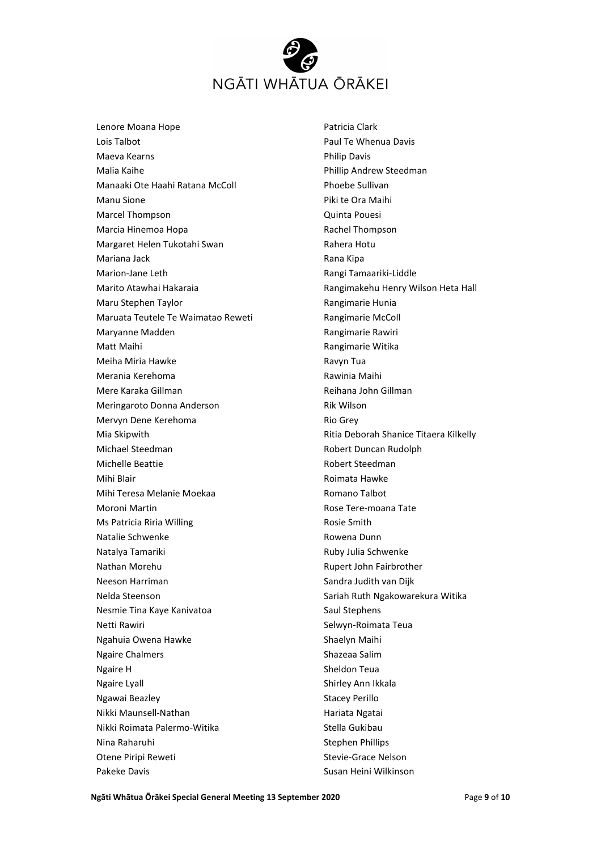

Lenore Moana Hope Lois Talbot Maeva Kearns Malia Kaihe Manaaki Ote Haahi Ratana McColl Manu Sione Marcel Thompson Marcia Hinemoa Hopa Margaret Helen Tukotahi Swan Mariana Jack Marion-Jane Leth Marito Atawhai Hakaraia Maru Stephen Taylor Maruata Teutele Te Waimatao Reweti Maryanne Madden Matt Maihi Meiha Miria Hawke Merania Kerehoma Mere Karaka Gillman Meringaroto Donna Anderson Mervyn Dene Kerehoma Mia Skipwith Michael Steedman Michelle Beattie Mihi Blair Mihi Teresa Melanie Moekaa Moroni Martin Ms Patricia Riria Willing Natalie Schwenke Natalya Tamariki Nathan Morehu Neeson Harriman Nelda Steenson Nesmie Tina Kaye Kanivatoa Netti Rawiri Ngahuia Owena Hawke Ngaire Chalmers Ngaire H Ngaire Lyall Ngawai Beazley Nikki Maunsell-Nathan Nikki Roimata Palermo-Witika Nina Raharuhi Otene Piripi Reweti Pakeke Davis

Patricia Clark Paul Te Whenua Davis Philip Davis Phillip Andrew Steedman Phoebe Sullivan Piki te Ora Maihi Quinta Pouesi Rachel Thompson Rahera Hotu Rana Kipa Rangi Tamaariki-Liddle Rangimakehu Henry Wilson Heta Hall Rangimarie Hunia Rangimarie McColl Rangimarie Rawiri Rangimarie Witika Ravyn Tua Rawinia Maihi Reihana John Gillman Rik Wilson Rio Grey Ritia Deborah Shanice Titaera Kilkelly Robert Duncan Rudolph Robert Steedman Roimata Hawke Romano Talbot Rose Tere-moana Tate Rosie Smith Rowena Dunn Ruby Julia Schwenke Rupert John Fairbrother Sandra Judith van Dijk Sariah Ruth Ngakowarekura Witika Saul Stephens Selwyn-Roimata Teua Shaelyn Maihi Shazeaa Salim Sheldon Teua Shirley Ann Ikkala Stacey Perillo Hariata Ngatai Stella Gukibau Stephen Phillips Stevie-Grace Nelson Susan Heini Wilkinson